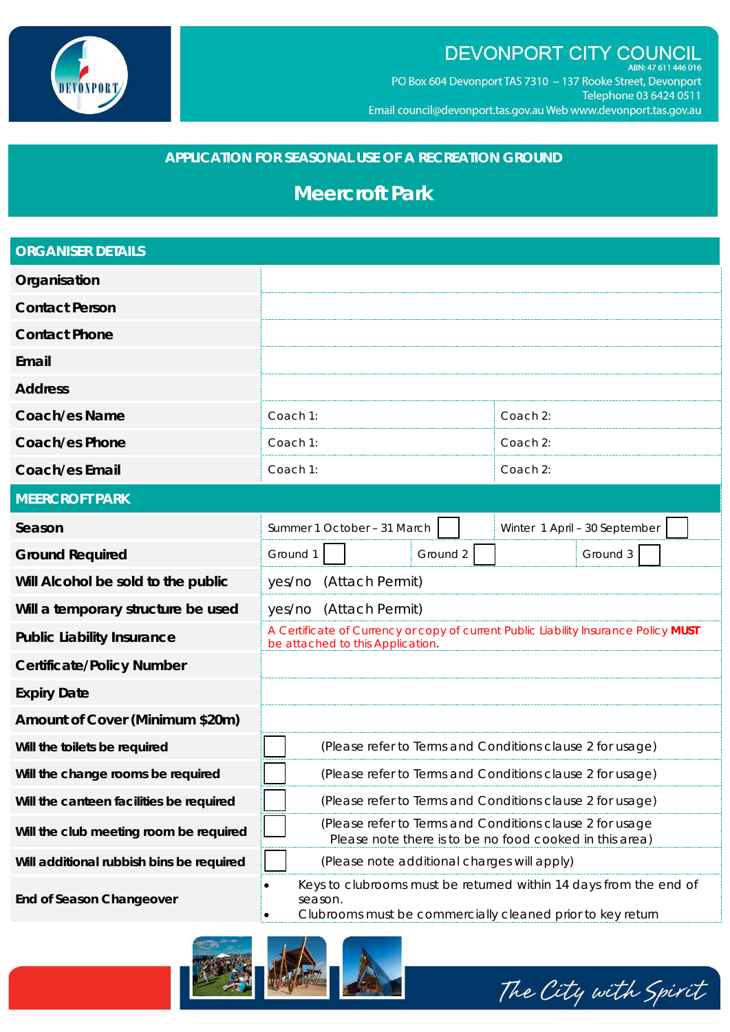

### DEVONPORT CITY COUNCIL ABN: 47 611 446 016

PO Box 604 Devonport TAS 7310 - 137 Rooke Street, Devonport Telephone 03 6424 0511 Email council@devonport.tas.gov.au Web www.devonport.tas.gov.au

## **APPLICATION FOR SEASONAL USE OF A RECREATION GROUND**

# **Meercroft Park**

| <b>ORGANISER DETAILS</b>                 |                                                                                                                                            |  |  |  |  |
|------------------------------------------|--------------------------------------------------------------------------------------------------------------------------------------------|--|--|--|--|
| Organisation                             |                                                                                                                                            |  |  |  |  |
| <b>Contact Person</b>                    |                                                                                                                                            |  |  |  |  |
| <b>Contact Phone</b>                     |                                                                                                                                            |  |  |  |  |
| Email                                    |                                                                                                                                            |  |  |  |  |
| <b>Address</b>                           |                                                                                                                                            |  |  |  |  |
| <b>Coach/es Name</b>                     | Coach 2:<br>Coach 1:                                                                                                                       |  |  |  |  |
| <b>Coach/es Phone</b>                    | Coach 1:<br>Coach 2:                                                                                                                       |  |  |  |  |
| <b>Coach/es Email</b>                    | Coach 1:<br>Coach 2:                                                                                                                       |  |  |  |  |
| <b>MEERCROFT PARK</b>                    |                                                                                                                                            |  |  |  |  |
| Season                                   | Summer 1 October - 31 March<br>Winter 1 April - 30 September                                                                               |  |  |  |  |
| <b>Ground Required</b>                   | Ground 2<br>Ground 1<br>Ground 3                                                                                                           |  |  |  |  |
| Will Alcohol be sold to the public       | (Attach Permit)<br>yes/no                                                                                                                  |  |  |  |  |
| Will a temporary structure be used       | (Attach Permit)<br>yes/no                                                                                                                  |  |  |  |  |
| <b>Public Liability Insurance</b>        | A Certificate of Currency or copy of current Public Liability Insurance Policy MUST<br>be attached to this Application.                    |  |  |  |  |
| <b>Certificate/Policy Number</b>         |                                                                                                                                            |  |  |  |  |
| <b>Expiry Date</b>                       |                                                                                                                                            |  |  |  |  |
| Amount of Cover (Minimum \$20m)          |                                                                                                                                            |  |  |  |  |
| Will the toilets be required             | (Please refer to Terms and Conditions clause 2 for usage)                                                                                  |  |  |  |  |
| Will the change rooms be required        | (Please refer to Terms and Conditions clause 2 for usage)                                                                                  |  |  |  |  |
| Will the canteen facilities be required  | (Please refer to Terms and Conditions clause 2 for usage)                                                                                  |  |  |  |  |
| Will the club meeting room be required   | (Please refer to Terms and Conditions clause 2 for usage<br>Please note there is to be no food cooked in this area)                        |  |  |  |  |
| Will additional rubbish bins be required | (Please note additional charges will apply)                                                                                                |  |  |  |  |
| <b>End of Season Changeover</b>          | Keys to clubrooms must be returned within 14 days from the end of<br>season.<br>Clubrooms must be commercially cleaned prior to key return |  |  |  |  |



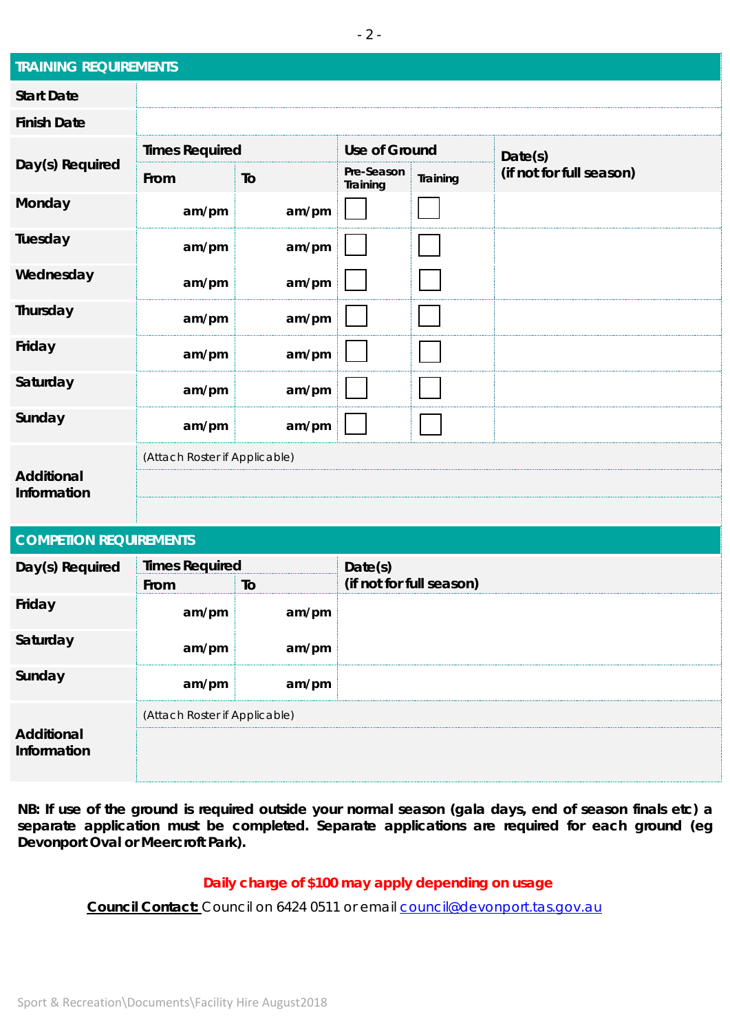| <b>TRAINING REQUIREMENTS</b>     |                               |       |                        |          |                          |  |
|----------------------------------|-------------------------------|-------|------------------------|----------|--------------------------|--|
| <b>Start Date</b>                |                               |       |                        |          |                          |  |
| <b>Finish Date</b>               |                               |       |                        |          |                          |  |
| Day(s) Required                  | <b>Times Required</b>         |       | <b>Use of Ground</b>   |          | Date(s)                  |  |
|                                  | From                          | To    | Pre-Season<br>Training | Training | (if not for full season) |  |
| Monday                           | am/pm                         | am/pm |                        |          |                          |  |
| Tuesday                          | am/pm                         | am/pm |                        |          |                          |  |
| Wednesday                        | am/pm                         | am/pm |                        |          |                          |  |
| Thursday                         | am/pm                         | am/pm |                        |          |                          |  |
| Friday                           | am/pm                         | am/pm |                        |          |                          |  |
| Saturday                         | am/pm                         | am/pm |                        |          |                          |  |
| Sunday                           | am/pm                         | am/pm |                        |          |                          |  |
|                                  | (Attach Roster if Applicable) |       |                        |          |                          |  |
| <b>Additional</b><br>Information |                               |       |                        |          |                          |  |
|                                  |                               |       |                        |          |                          |  |

| <b>COMPETION REQUIREMENTS</b> |                               |       |                          |  |  |  |
|-------------------------------|-------------------------------|-------|--------------------------|--|--|--|
| Day(s) Required               | <b>Times Required</b>         |       | Date(s)                  |  |  |  |
|                               | From                          | To    | (if not for full season) |  |  |  |
| Friday                        | am/pm                         | am/pm |                          |  |  |  |
| Saturday                      | am/pm                         | am/pm |                          |  |  |  |
| Sunday                        | am/pm                         | am/pm |                          |  |  |  |
| Additional<br>Information     | (Attach Roster if Applicable) |       |                          |  |  |  |
|                               |                               |       |                          |  |  |  |
|                               |                               |       |                          |  |  |  |

**NB: If use of the ground is required outside your normal season (gala days, end of season finals etc) a separate application must be completed. Separate applications are required for each ground (eg Devonport Oval or Meercroft Park).**

### **Daily charge of \$100 may apply depending on usage**

**Council Contact:** Council on 6424 0511 or email council@devonport.tas.gov.au